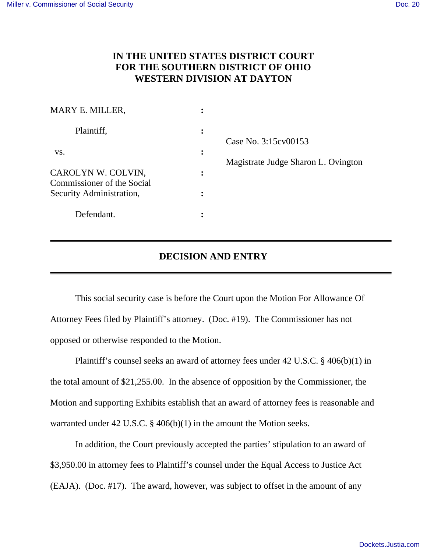## **IN THE UNITED STATES DISTRICT COURT FOR THE SOUTHERN DISTRICT OF OHIO WESTERN DIVISION AT DAYTON**

| MARY E. MILLER,                                  |           |                                     |
|--------------------------------------------------|-----------|-------------------------------------|
| Plaintiff,                                       | $\bullet$ | Case No. 3:15 cv 00153              |
| VS.                                              | $\bullet$ | Magistrate Judge Sharon L. Ovington |
| CAROLYN W. COLVIN,<br>Commissioner of the Social |           |                                     |
| Security Administration,                         |           |                                     |
| Defendant.                                       |           |                                     |

## **DECISION AND ENTRY**

 This social security case is before the Court upon the Motion For Allowance Of Attorney Fees filed by Plaintiff's attorney. (Doc. #19). The Commissioner has not opposed or otherwise responded to the Motion.

 Plaintiff's counsel seeks an award of attorney fees under 42 U.S.C. § 406(b)(1) in the total amount of \$21,255.00. In the absence of opposition by the Commissioner, the Motion and supporting Exhibits establish that an award of attorney fees is reasonable and warranted under 42 U.S.C. § 406(b)(1) in the amount the Motion seeks.

 In addition, the Court previously accepted the parties' stipulation to an award of \$3,950.00 in attorney fees to Plaintiff's counsel under the Equal Access to Justice Act (EAJA). (Doc. #17). The award, however, was subject to offset in the amount of any